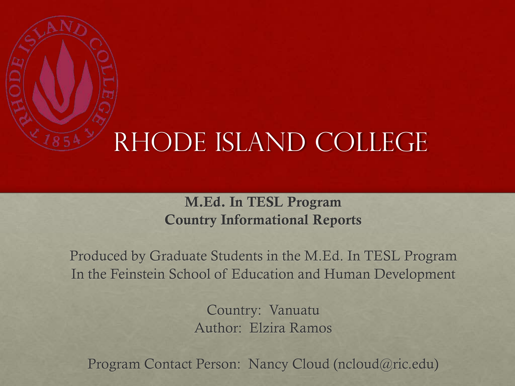

### Rhode Island College

#### **M.Ed. In TESL Program Country Informational Reports**

Produced by Graduate Students in the M.Ed. In TESL Program In the Feinstein School of Education and Human Development

> Country: Vanuatu Author: Elzira Ramos

Program Contact Person: Nancy Cloud (ncloud@ric.edu)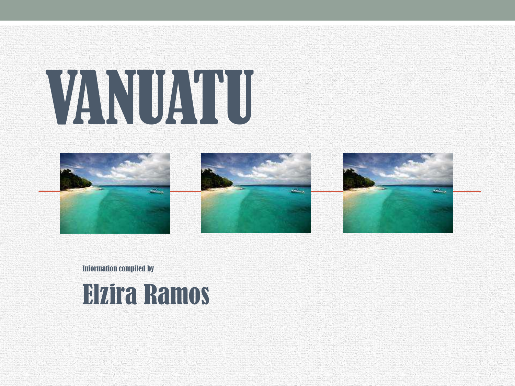



Information compiled by

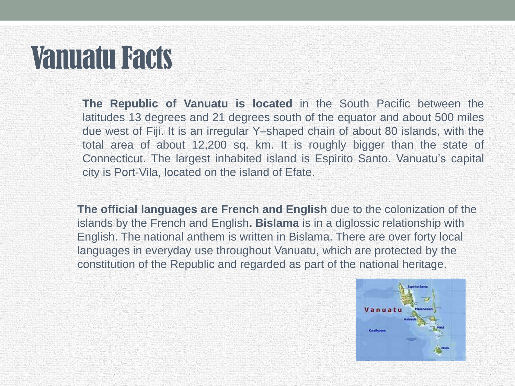## Vanuatu Facts

**The Republic of Vanuatu is located** in the South Pacific between the latitudes 13 degrees and 21 degrees south of the equator and about 500 miles due west of Fiji. It is an irregular Y–shaped chain of about 80 islands, with the total area of about 12,200 sq. km. It is roughly bigger than the state of Connecticut. The largest inhabited island is Espirito Santo. Vanuatu's capital city is Port-Vila, located on the island of Efate.

**The official languages are French and English** due to the colonization of the islands by the French and English**. Bislama** is in a diglossic relationship with English. The national anthem is written in Bislama. There are over forty local languages in everyday use throughout Vanuatu, which are protected by the constitution of the Republic and regarded as part of the national heritage.

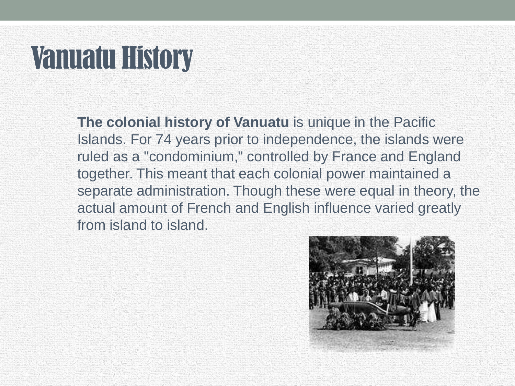# Vanuatu History

**The colonial history of Vanuatu** is unique in the Pacific Islands. For 74 years prior to independence, the islands were ruled as a "condominium," controlled by France and England together. This meant that each colonial power maintained a separate administration. Though these were equal in theory, the actual amount of French and English influence varied greatly from island to island.

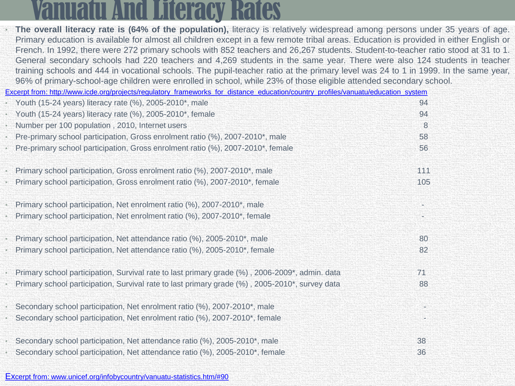### nuatu And Literacy Rates

|                                           | The overall literacy rate is (64% of the population), literacy is relatively widespread among persons under 35 years of age.<br>Primary education is available for almost all children except in a few remote tribal areas. Education is provided in either English or<br>French. In 1992, there were 272 primary schools with 852 teachers and 26,267 students. Student-to-teacher ratio stood at 31 to 1. |     |
|-------------------------------------------|-------------------------------------------------------------------------------------------------------------------------------------------------------------------------------------------------------------------------------------------------------------------------------------------------------------------------------------------------------------------------------------------------------------|-----|
|                                           | General secondary schools had 220 teachers and 4,269 students in the same year. There were also 124 students in teacher<br>training schools and 444 in vocational schools. The pupil-teacher ratio at the primary level was 24 to 1 in 1999. In the same year,                                                                                                                                              |     |
|                                           | 96% of primary-school-age children were enrolled in school, while 23% of those eligible attended secondary school.                                                                                                                                                                                                                                                                                          |     |
|                                           | Excerpt from: http://www.icde.org/projects/regulatory_frameworks_for_distance_education/country_profiles/vanuatu/education_system                                                                                                                                                                                                                                                                           |     |
|                                           | • Youth (15-24 years) literacy rate (%), 2005-2010*, male                                                                                                                                                                                                                                                                                                                                                   | 94  |
|                                           | • Youth (15-24 years) literacy rate (%), 2005-2010*, female                                                                                                                                                                                                                                                                                                                                                 | 94  |
|                                           | · Number per 100 population, 2010, Internet users                                                                                                                                                                                                                                                                                                                                                           | 8   |
|                                           | Pre-primary school participation, Gross enrolment ratio (%), 2007-2010*, male                                                                                                                                                                                                                                                                                                                               | 58  |
| W.                                        | Pre-primary school participation, Gross enrolment ratio (%), 2007-2010*, female                                                                                                                                                                                                                                                                                                                             | 56  |
|                                           | Primary school participation, Gross enrolment ratio (%), 2007-2010*, male                                                                                                                                                                                                                                                                                                                                   | 111 |
|                                           | Primary school participation, Gross enrolment ratio (%), 2007-2010*, female                                                                                                                                                                                                                                                                                                                                 | 105 |
| $\mathcal{L}_{\mathcal{L}_{\mathcal{L}}}$ | Primary school participation, Net enrolment ratio (%), 2007-2010*, male                                                                                                                                                                                                                                                                                                                                     |     |
|                                           | Primary school participation, Net enrolment ratio (%), 2007-2010*, female                                                                                                                                                                                                                                                                                                                                   |     |
|                                           | Primary school participation, Net attendance ratio (%), 2005-2010*, male                                                                                                                                                                                                                                                                                                                                    | 80  |
|                                           | Primary school participation, Net attendance ratio (%), 2005-2010*, female                                                                                                                                                                                                                                                                                                                                  | 82  |
|                                           | Primary school participation, Survival rate to last primary grade (%), 2006-2009*, admin. data                                                                                                                                                                                                                                                                                                              | 71  |
|                                           | Primary school participation, Survival rate to last primary grade (%), 2005-2010*, survey data                                                                                                                                                                                                                                                                                                              | 88  |
|                                           | Secondary school participation, Net enrolment ratio (%), 2007-2010*, male                                                                                                                                                                                                                                                                                                                                   | ×   |
|                                           | Secondary school participation, Net enrolment ratio (%), 2007-2010*, female                                                                                                                                                                                                                                                                                                                                 |     |
|                                           | Secondary school participation, Net attendance ratio (%), 2005-2010*, male                                                                                                                                                                                                                                                                                                                                  | 38  |
|                                           | Secondary school participation, Net attendance ratio (%), 2005-2010*, female                                                                                                                                                                                                                                                                                                                                | 36  |
|                                           |                                                                                                                                                                                                                                                                                                                                                                                                             |     |

[Ex](http://www.unicef.org/infobycountry/vanuatu-statistics.htm/)[cerpt from: www.unicef.org/infobycountry/vanuatu-statistics.htm/#90](http://www.unicef.org/infobycountry/vanuatu-statistics.htm/)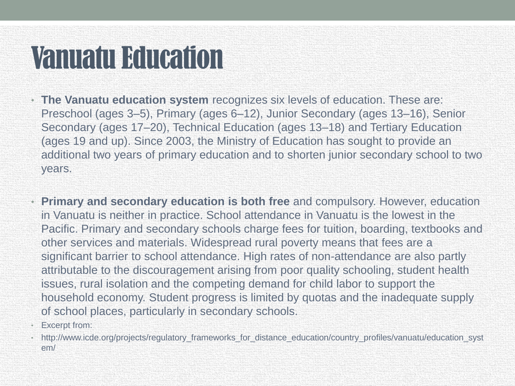# Vanuatu Education

- **The Vanuatu education system** recognizes six levels of education. These are: Preschool (ages 3–5), Primary (ages 6–12), Junior Secondary (ages 13–16), Senior Secondary (ages 17–20), Technical Education (ages 13–18) and Tertiary Education (ages 19 and up). Since 2003, the Ministry of Education has sought to provide an additional two years of primary education and to shorten junior secondary school to two years.
- **Primary and secondary education is both free** and compulsory. However, education in Vanuatu is neither in practice. School attendance in Vanuatu is the lowest in the Pacific. Primary and secondary schools charge fees for tuition, boarding, textbooks and other services and materials. Widespread rural poverty means that fees are a significant barrier to school attendance. High rates of non-attendance are also partly attributable to the discouragement arising from poor quality schooling, student health issues, rural isolation and the competing demand for child labor to support the household economy. Student progress is limited by quotas and the inadequate supply of school places, particularly in secondary schools.
- Excerpt from:
- http://www.icde.org/projects/regulatory\_frameworks\_for\_distance\_education/country\_profiles/vanuatu/education\_syst em/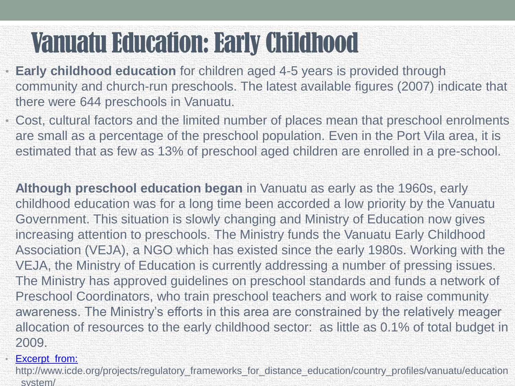## Vanuatu Education: Early Childhood

- **Early childhood education** for children aged 4-5 years is provided through community and church-run preschools. The latest available figures (2007) indicate that there were 644 preschools in Vanuatu.
- Cost, cultural factors and the limited number of places mean that preschool enrolments are small as a percentage of the preschool population. Even in the Port Vila area, it is estimated that as few as 13% of preschool aged children are enrolled in a pre-school.

**Although preschool education began** in Vanuatu as early as the 1960s, early childhood education was for a long time been accorded a low priority by the Vanuatu Government. This situation is slowly changing and Ministry of Education now gives increasing attention to preschools. The Ministry funds the Vanuatu Early Childhood Association (VEJA), a NGO which has existed since the early 1980s. Working with the VEJA, the Ministry of Education is currently addressing a number of pressing issues. The Ministry has approved guidelines on preschool standards and funds a network of Preschool Coordinators, who train preschool teachers and work to raise community awareness. The Ministry's efforts in this area are constrained by the relatively meager allocation of resources to the early childhood sector: as little as 0.1% of total budget in 2009.

#### **Excerpt from:**

http://www.icde.org/projects/regulatory\_frameworks\_for\_distance\_education/country\_profiles/vanuatu/education \_system/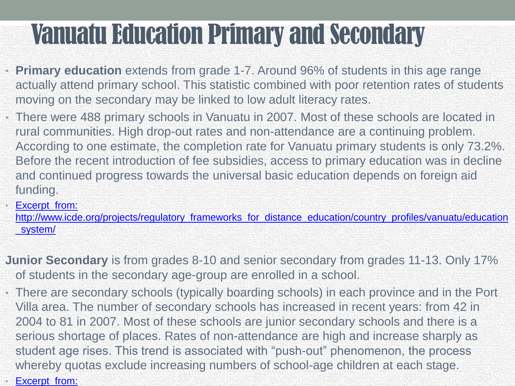## Vanuatu Education Primary and Secondary

- **Primary education** extends from grade 1-7. Around 96% of students in this age range actually attend primary school. This statistic combined with poor retention rates of students moving on the secondary may be linked to low adult literacy rates.
- There were 488 primary schools in Vanuatu in 2007. Most of these schools are located in rural communities. High drop-out rates and non-attendance are a continuing problem. According to one estimate, the completion rate for Vanuatu primary students is only 73.2%. Before the recent introduction of fee subsidies, access to primary education was in decline and continued progress towards the universal basic education depends on foreign aid funding.

**Excerpt from:** 

[http://www.icde.org/projects/regulatory\\_frameworks\\_for\\_distance\\_education/country\\_profiles/vanuatu/education](http://www.icde.org/projects/regulatory_frameworks_for_distance_education/country_profiles/vanuatu/education_system/) [\\_system/](http://www.icde.org/projects/regulatory_frameworks_for_distance_education/country_profiles/vanuatu/education_system/)

- **Junior Secondary** is from grades 8-10 and senior secondary from grades 11-13. Only 17% of students in the secondary age-group are enrolled in a school.
- There are secondary schools (typically boarding schools) in each province and in the Port Villa area. The number of secondary schools has increased in recent years: from 42 in 2004 to 81 in 2007. Most of these schools are junior secondary schools and there is a serious shortage of places. Rates of non-attendance are high and increase sharply as student age rises. This trend is associated with "push-out" phenomenon, the process whereby quotas exclude increasing numbers of school-age children at each stage.
- **Excerpt from:**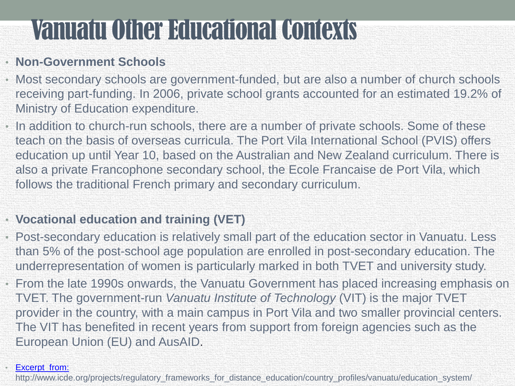### Vanuatu Other Educational Contexts

#### • **Non-Government Schools**

- Most secondary schools are government-funded, but are also a number of church schools receiving part-funding. In 2006, private school grants accounted for an estimated 19.2% of Ministry of Education expenditure.
- In addition to church-run schools, there are a number of private schools. Some of these teach on the basis of overseas curricula. The Port Vila International School (PVIS) offers education up until Year 10, based on the Australian and New Zealand curriculum. There is also a private Francophone secondary school, the Ecole Francaise de Port Vila, which follows the traditional French primary and secondary curriculum.

#### • **Vocational education and training (VET)**

- Post-secondary education is relatively small part of the education sector in Vanuatu. Less than 5% of the post-school age population are enrolled in post-secondary education. The underrepresentation of women is particularly marked in both TVET and university study.
- From the late 1990s onwards, the Vanuatu Government has placed increasing emphasis on TVET. The government-run *Vanuatu Institute of Technology* (VIT) is the major TVET provider in the country, with a main campus in Port Vila and two smaller provincial centers. The VIT has benefited in recent years from support from foreign agencies such as the European Union (EU) and AusAID.

#### Excerpt from:

http://www.icde.org/projects/regulatory\_frameworks\_for\_distance\_education/country\_profiles/vanuatu/education\_system/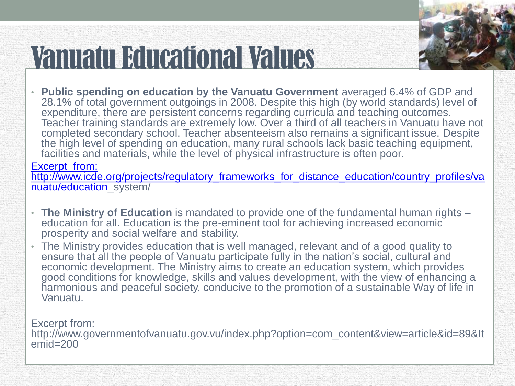# Vanuatu Educational Values

• **Public spending on education by the Vanuatu Government** averaged 6.4% of GDP and 28.1% of total government outgoings in 2008. Despite this high (by world standards) level of expenditure, there are persistent concerns regarding curricula and teaching outcomes. Teacher training standards are extremely low. Over a third of all teachers in Vanuatu have not completed secondary school. Teacher absenteeism also remains a significant issue. Despite the high level of spending on education, many rural schools lack basic teaching equipment, facilities and materials, while the level of physical infrastructure is often poor.

Excerpt from:

[http://www.icde.org/projects/regulatory\\_frameworks\\_for\\_distance\\_education/country\\_profiles/va](http://www.icde.org/projects/regulatory_frameworks_for_distance_education/country_profiles/vanuatu/education) [nuatu/education\\_](http://www.icde.org/projects/regulatory_frameworks_for_distance_education/country_profiles/vanuatu/education)system/

- **The Ministry of Education** is mandated to provide one of the fundamental human rights education for all. Education is the pre-eminent tool for achieving increased economic prosperity and social welfare and stability.
- The Ministry provides education that is well managed, relevant and of a good quality to ensure that all the people of Vanuatu participate fully in the nation's social, cultural and economic development. The Ministry aims to create an education system, which provides good conditions for knowledge, skills and values development, with the view of enhancing a harmonious and peaceful society, conducive to the promotion of a sustainable Way of life in Vanuatu.

Excerpt from: http://www.governmentofvanuatu.gov.vu/index.php?option=com\_content&view=article&id=89&It  $emid = 200$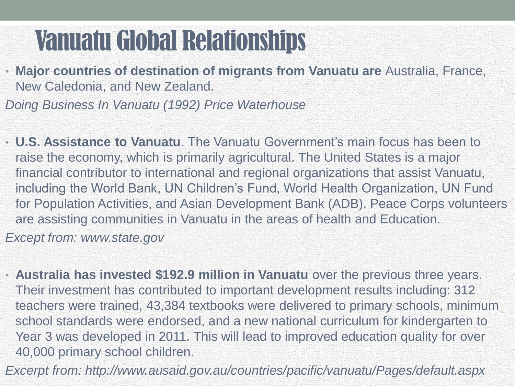## Vanuatu Global Relationships

• **Major countries of destination of migrants from Vanuatu are** Australia, France, New Caledonia, and New Zealand.

*Doing Business In Vanuatu (1992) Price Waterhouse*

- **U.S. Assistance to Vanuatu**. The Vanuatu Government's main focus has been to raise the economy, which is primarily agricultural. The United States is a major financial contributor to international and regional organizations that assist Vanuatu, including the World Bank, UN Children's Fund, World Health Organization, UN Fund for Population Activities, and Asian Development Bank (ADB). Peace Corps volunteers are assisting communities in Vanuatu in the areas of health and Education. *Except from: www.state.gov*
- **Australia has invested \$192.9 million in Vanuatu** over the previous three years. Their investment has contributed to important development results including: 312 teachers were trained, 43,384 textbooks were delivered to primary schools, minimum school standards were endorsed, and a new national curriculum for kindergarten to Year 3 was developed in 2011. This will lead to improved education quality for over 40,000 primary school children.
- *Excerpt from: http://www.ausaid.gov.au/countries/pacific/vanuatu/Pages/default.aspx*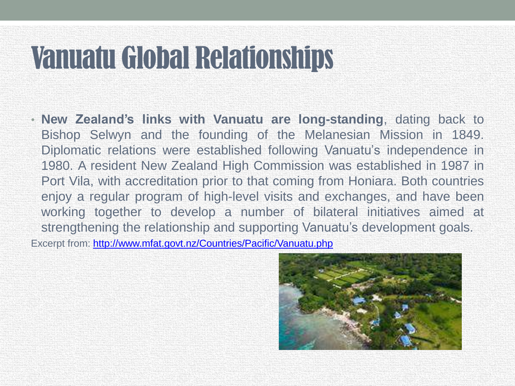## Vanuatu Global Relationships

• **New Zealand's links with Vanuatu are long-standing**, dating back to Bishop Selwyn and the founding of the Melanesian Mission in 1849. Diplomatic relations were established following Vanuatu's independence in 1980. A resident New Zealand High Commission was established in 1987 in Port Vila, with accreditation prior to that coming from Honiara. Both countries enjoy a regular program of high-level visits and exchanges, and have been working together to develop a number of bilateral initiatives aimed at strengthening the relationship and supporting Vanuatu's development goals. Excerpt from:<http://www.mfat.govt.nz/Countries/Pacific/Vanuatu.php>

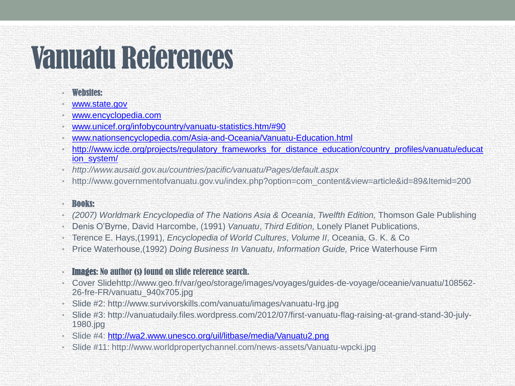# Vanuatu References

- Websites:
- [www.state.gov](http://www.state.gov/)
- [www.encyclopedia.com](http://www.encyclopedia.com/)
- [www.unicef.org/infobycountry/vanuatu-statistics.htm/#90](http://www.unicef.org/infobycountry/vanuatu-statistics.htm/)
- [www.nationsencyclopedia.com/Asia-and-Oceania/Vanuatu-Education.html](http://www.nationsencyclopedia.com/Asia-and-Oceania/Vanuatu-Education.html)
- [http://www.icde.org/projects/regulatory\\_frameworks\\_for\\_distance\\_education/country\\_profiles/vanuatu/educat](http://www.icde.org/projects/regulatory_frameworks_for_distance_education/country_profiles/vanuatu/education_system/) [ion\\_system/](http://www.icde.org/projects/regulatory_frameworks_for_distance_education/country_profiles/vanuatu/education_system/)
- *http://www.ausaid.gov.au/countries/pacific/vanuatu/Pages/default.aspx*
- http://www.governmentofvanuatu.gov.vu/index.php?option=com\_content&view=article&id=89&Itemid=200
- Books:
- *(2007) Worldmark Encyclopedia of The Nations Asia & Oceania*, *Twelfth Edition,* Thomson Gale Publishing
- Denis O'Byrne, David Harcombe, (1991) *Vanuatu*, *Third Edition,* Lonely Planet Publications,
- Terence E. Hays,(1991), *Encyclopedia of World Cultures*, *Volume II*, Oceania, G. K. & Co
- Price Waterhouse,(1992) *Doing Business In Vanuatu*, *Information Guide,* Price Waterhouse Firm
- Images: No author (s) found on slide reference search.
- Cover Slidehttp://www.geo.fr/var/geo/storage/images/voyages/guides-de-voyage/oceanie/vanuatu/108562- 26-fre-FR/vanuatu\_940x705.jpg
- Slide #2: http://www.survivorskills.com/vanuatu/images/vanuatu-lrg.jpg
- Slide #3: http://vanuatudaily.files.wordpress.com/2012/07/first-vanuatu-flag-raising-at-grand-stand-30-july-1980.jpg
- Slide #4: <http://wa2.www.unesco.org/uil/litbase/media/Vanuatu2.png>
- Slide #11: http://www.worldpropertychannel.com/news-assets/Vanuatu-wpcki.jpg